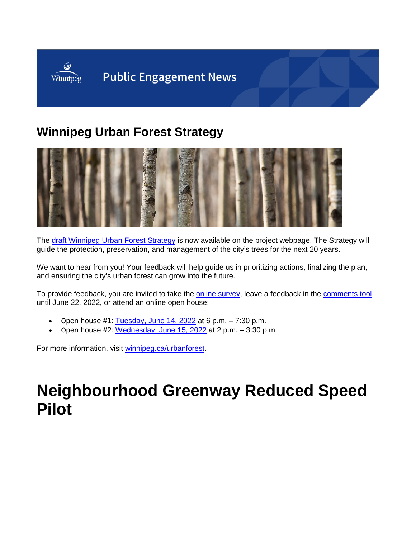

## **Winnipeg Urban Forest Strategy**



The [draft Winnipeg Urban Forest Strategy](https://engage.winnipeg.ca/10550/widgets/67282/documents/81564) is now available on the project webpage. The Strategy will guide the protection, preservation, and management of the city's trees for the next 20 years.

We want to hear from you! Your feedback will help guide us in prioritizing actions, finalizing the plan, and ensuring the city's urban forest can grow into the future.

To provide feedback, you are invited to take the **online survey**, leave a feedback in the **comments tool** until June 22, 2022, or attend an online open house:

- Open house #1:  $Tuesday$ , June 14, 2022 at 6 p.m.  $-7:30$  p.m.
- Open house #2: [Wednesday, June 15, 2022](https://us02web.zoom.us/meeting/register/tZYodOmrpzksHdE5mN2vRHdTVuIhmOxcWWOee) at 2 p.m. 3:30 p.m.

For more information, visit [winnipeg.ca/urbanforest.](https://engage.winnipeg.ca/urbanforest)

## **Neighbourhood Greenway Reduced Speed Pilot**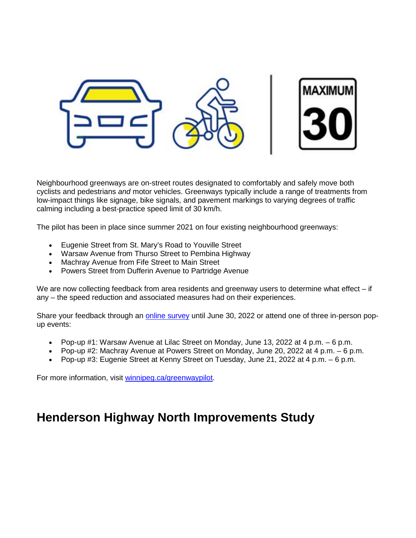

Neighbourhood greenways are on-street routes designated to comfortably and safely move both cyclists and pedestrians *and* motor vehicles. Greenways typically include a range of treatments from low-impact things like signage, bike signals, and pavement markings to varying degrees of traffic calming including a best-practice speed limit of 30 km/h.

The pilot has been in place since summer 2021 on four existing neighbourhood greenways:

- Eugenie Street from St. Mary's Road to Youville Street
- Warsaw Avenue from Thurso Street to Pembina Highway
- Machray Avenue from Fife Street to Main Street
- Powers Street from Dufferin Avenue to Partridge Avenue

We are now collecting feedback from area residents and greenway users to determine what effect – if any – the speed reduction and associated measures had on their experiences.

Share your feedback through an [online survey](https://winnipeg.surveymonkey.com/r/2W55N2F) until June 30, 2022 or attend one of three in-person popup events:

- Pop-up #1: Warsaw Avenue at Lilac Street on Monday, June 13, 2022 at 4 p.m. 6 p.m.
- Pop-up #2: Machray Avenue at Powers Street on Monday, June 20, 2022 at 4 p.m. 6 p.m.
- Pop-up #3: Eugenie Street at Kenny Street on Tuesday, June 21, 2022 at 4 p.m. 6 p.m.

For more information, visit [winnipeg.ca/greenwaypilot.](https://engage.winnipeg.ca/neighbourhood-greenway-reduced-speed-pilot)

## **Henderson Highway North Improvements Study**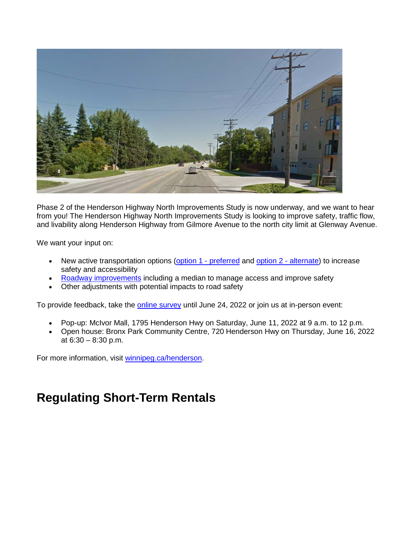

Phase 2 of the Henderson Highway North Improvements Study is now underway, and we want to hear from you! The Henderson Highway North Improvements Study is looking to improve safety, traffic flow, and livability along Henderson Highway from Gilmore Avenue to the north city limit at Glenway Avenue.

We want your input on:

- New active transportation options [\(option 1 -](https://engage.winnipeg.ca/24366/widgets/104343/documents/81835) preferred and [option 2 -](https://engage.winnipeg.ca/24366/widgets/104343/documents/81836) alternate) to increase safety and accessibility
- [Roadway improvements](https://engage.winnipeg.ca/24366/widgets/104343/documents/81823) including a median to manage access and improve safety
- Other adjustments with potential impacts to road safety

To provide feedback, take the [online survey](https://www.surveymonkey.com/r/hendersonphase2) until June 24, 2022 or join us at in-person event:

- Pop-up: McIvor Mall, 1795 Henderson Hwy on Saturday, June 11, 2022 at 9 a.m. to 12 p.m.
- Open house: Bronx Park Community Centre, 720 Henderson Hwy on Thursday, June 16, 2022 at 6:30 – 8:30 p.m.

For more information, visit [winnipeg.ca/henderson.](https://engage.winnipeg.ca/henderson-highway-north-study)

## **Regulating Short-Term Rentals**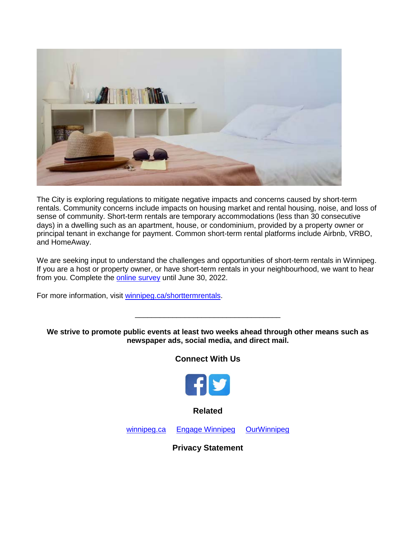

The City is exploring regulations to mitigate negative impacts and concerns caused by short-term rentals. Community concerns include impacts on housing market and rental housing, noise, and loss of sense of community. Short-term rentals are temporary accommodations (less than 30 consecutive days) in a dwelling such as an apartment, house, or condominium, provided by a property owner or principal tenant in exchange for payment. Common short-term rental platforms include Airbnb, VRBO, and HomeAway.

We are seeking input to understand the challenges and opportunities of short-term rentals in Winnipeg. If you are a host or property owner, or have short-term rentals in your neighbourhood, we want to hear from you. Complete the [online survey](https://engage.winnipeg.ca/short-term-rentals/survey_tools/survey) until June 30, 2022.

For more information, visit [winnipeg.ca/shorttermrentals.](https://engage.winnipeg.ca/short-term-rentals)

**We strive to promote public events at least two weeks ahead through other means such as newspaper ads, social media, and direct mail.**

\_\_\_\_\_\_\_\_\_\_\_\_\_\_\_\_\_\_\_\_\_\_\_\_\_\_\_\_\_\_\_\_\_\_\_

**Connect With Us**



**Related**

[winnipeg.ca](https://winnipeg.ca/interhom/?utm_source=ehq_newsletter&utm_medium=email&utm_campaign=ehq-Engagement-news--Police-Funding-Model-and-Responsible-Pet-Ownerhsip-Bylaw-Review) [Engage Winnipeg](https://engage.winnipeg.ca/?utm_source=ehq_newsletter&utm_medium=email&utm_campaign=ehq-Engagement-news--Police-Funding-Model-and-Responsible-Pet-Ownerhsip-Bylaw-Review) [OurWinnipeg](https://www.winnipeg.ca/interhom/CityHall/OurWinnipeg/?utm_source=ehq_newsletter&utm_medium=email&utm_campaign=ehq-Engagement-news--Police-Funding-Model-and-Responsible-Pet-Ownerhsip-Bylaw-Review)

**Privacy Statement**